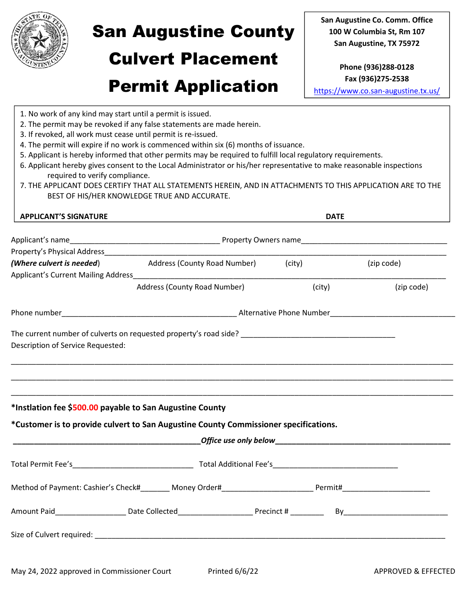

# San Augustine County

## Culvert Placement

San Augustine Co. Comm. Office 100 W Columbia St, Rm 107 San Augustine, TX 75972

## Permit Application

Phone (936)288-0128 Fax (936)275-2538

https://www.co.san-augustine.tx.us/

|                                                                                               | 1. No work of any kind may start until a permit is issued.<br>2. The permit may be revoked if any false statements are made herein. |             |            |
|-----------------------------------------------------------------------------------------------|-------------------------------------------------------------------------------------------------------------------------------------|-------------|------------|
| 3. If revoked, all work must cease until permit is re-issued.                                 |                                                                                                                                     |             |            |
|                                                                                               | 4. The permit will expire if no work is commenced within six (6) months of issuance.                                                |             |            |
|                                                                                               | 5. Applicant is hereby informed that other permits may be required to fulfill local regulatory requirements.                        |             |            |
|                                                                                               | 6. Applicant hereby gives consent to the Local Administrator or his/her representative to make reasonable inspections               |             |            |
| required to verify compliance.                                                                | 7. THE APPLICANT DOES CERTIFY THAT ALL STATEMENTS HEREIN, AND IN ATTACHMENTS TO THIS APPLICATION ARE TO THE                         |             |            |
|                                                                                               | BEST OF HIS/HER KNOWLEDGE TRUE AND ACCURATE.                                                                                        |             |            |
|                                                                                               |                                                                                                                                     |             |            |
| <b>APPLICANT'S SIGNATURE</b>                                                                  |                                                                                                                                     | <b>DATE</b> |            |
|                                                                                               |                                                                                                                                     |             |            |
|                                                                                               |                                                                                                                                     |             |            |
| (Where culvert is needed)                                                                     | Address (County Road Number) (city)                                                                                                 |             | (zip code) |
|                                                                                               |                                                                                                                                     |             |            |
|                                                                                               | Address (County Road Number)                                                                                                        | (city)      | (zip code) |
|                                                                                               |                                                                                                                                     |             |            |
|                                                                                               |                                                                                                                                     |             |            |
|                                                                                               |                                                                                                                                     |             |            |
|                                                                                               |                                                                                                                                     |             |            |
|                                                                                               |                                                                                                                                     |             |            |
|                                                                                               |                                                                                                                                     |             |            |
|                                                                                               |                                                                                                                                     |             |            |
|                                                                                               |                                                                                                                                     |             |            |
|                                                                                               |                                                                                                                                     |             |            |
|                                                                                               |                                                                                                                                     |             |            |
|                                                                                               |                                                                                                                                     |             |            |
|                                                                                               |                                                                                                                                     |             |            |
|                                                                                               | *Customer is to provide culvert to San Augustine County Commissioner specifications.                                                |             |            |
|                                                                                               |                                                                                                                                     |             |            |
| Description of Service Requested:<br>*Instlation fee \$500.00 payable to San Augustine County |                                                                                                                                     |             |            |
|                                                                                               |                                                                                                                                     |             |            |
|                                                                                               |                                                                                                                                     |             |            |
|                                                                                               |                                                                                                                                     |             |            |
|                                                                                               | Method of Payment: Cashier's Check#________ Money Order#_________________________ Permit#_____________________                      |             |            |
|                                                                                               |                                                                                                                                     |             |            |
|                                                                                               |                                                                                                                                     |             |            |